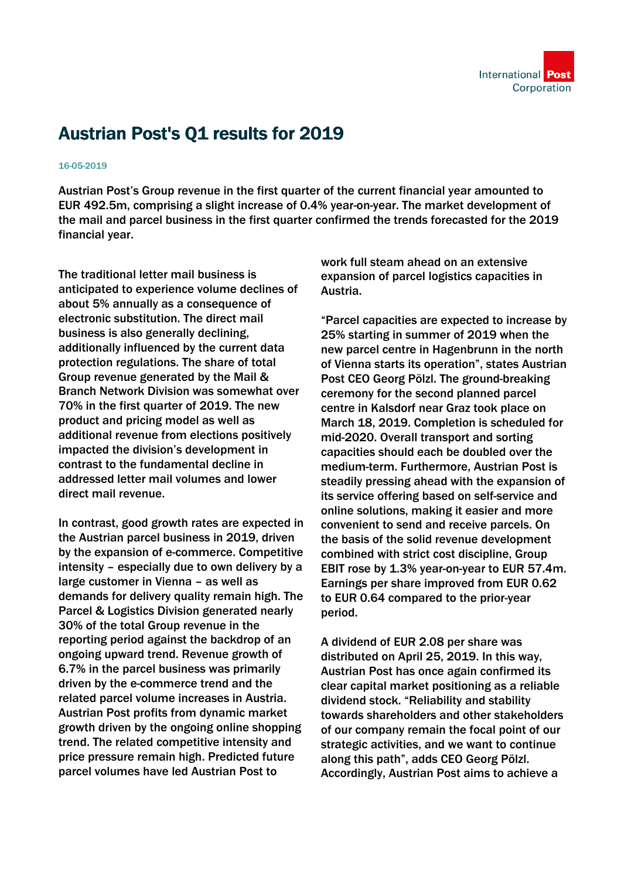

## Austrian Post's Q1 results for 2019

## 16-05-2019

Austrian Post's Group revenue in the first quarter of the current financial year amounted to EUR 492.5m, comprising a slight increase of 0.4% year-on-year. The market development of the mail and parcel business in the first quarter confirmed the trends forecasted for the 2019 financial year.

The traditional letter mail business is anticipated to experience volume declines of about 5% annually as a consequence of electronic substitution. The direct mail business is also generally declining, additionally influenced by the current data protection regulations. The share of total Group revenue generated by the Mail & Branch Network Division was somewhat over 70% in the first quarter of 2019. The new product and pricing model as well as additional revenue from elections positively impacted the division's development in contrast to the fundamental decline in addressed letter mail volumes and lower direct mail revenue.

In contrast, good growth rates are expected in the Austrian parcel business in 2019, driven by the expansion of e-commerce. Competitive intensity – especially due to own delivery by a large customer in Vienna – as well as demands for delivery quality remain high. The Parcel & Logistics Division generated nearly 30% of the total Group revenue in the reporting period against the backdrop of an ongoing upward trend. Revenue growth of 6.7% in the parcel business was primarily driven by the e-commerce trend and the related parcel volume increases in Austria. Austrian Post profits from dynamic market growth driven by the ongoing online shopping trend. The related competitive intensity and price pressure remain high. Predicted future parcel volumes have led Austrian Post to

work full steam ahead on an extensive expansion of parcel logistics capacities in Austria.

"Parcel capacities are expected to increase by 25% starting in summer of 2019 when the new parcel centre in Hagenbrunn in the north of Vienna starts its operation", states Austrian Post CEO Georg Pölzl. The ground-breaking ceremony for the second planned parcel centre in Kalsdorf near Graz took place on March 18, 2019. Completion is scheduled for mid-2020. Overall transport and sorting capacities should each be doubled over the medium-term. Furthermore, Austrian Post is steadily pressing ahead with the expansion of its service offering based on self-service and online solutions, making it easier and more convenient to send and receive parcels. On the basis of the solid revenue development combined with strict cost discipline, Group EBIT rose by 1.3% year-on-year to EUR 57.4m. Earnings per share improved from EUR 0.62 to EUR 0.64 compared to the prior-year period.

A dividend of EUR 2.08 per share was distributed on April 25, 2019. In this way, Austrian Post has once again confirmed its clear capital market positioning as a reliable dividend stock. "Reliability and stability towards shareholders and other stakeholders of our company remain the focal point of our strategic activities, and we want to continue along this path", adds CEO Georg Pölzl. Accordingly, Austrian Post aims to achieve a